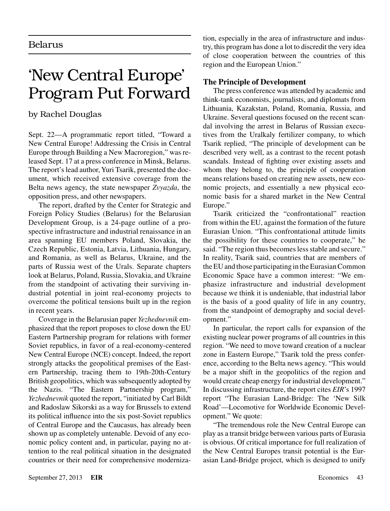## 'New Central Europe' Program Put Forward

## by Rachel Douglas

Sept. 22—A programmatic report titled, "Toward a New Central Europe! Addressing the Crisis in Central Europe through Building a New Macroregion," was released Sept. 17 at a press conference in Minsk, Belarus. The report's lead author, Yuri Tsarik, presented the document, which received extensive coverage from the Belta news agency, the state newspaper *Zvyazda*, the opposition press, and other newspapers.

The report, drafted by the Center for Strategic and Foreign Policy Studies (Belarus) for the Belarusian Development Group, is a 24-page outline of a prospective infrastructure and industrial renaissance in an area spanning EU members Poland, Slovakia, the Czech Republic, Estonia, Latvia, Lithuania, Hungary, and Romania, as well as Belarus, Ukraine, and the parts of Russia west of the Urals. Separate chapters look at Belarus, Poland, Russia, Slovakia, and Ukraine from the standpoint of activating their surviving industrial potential in joint real-economy projects to overcome the political tensions built up in the region in recent years.

Coverage in the Belarusian paper *Yezhednevnik* emphasized that the report proposes to close down the EU Eastern Partnership program for relations with former Soviet republics, in favor of a real-economy-centered New Central Europe (NCE) concept. Indeed, the report strongly attacks the geopolitical premises of the Eastern Partnership, tracing them to 19th-20th-Century British geopolitics, which was subsequently adopted by the Nazis. "The Eastern Partnership program," *Yezhednevnik* quoted the report, "initiated by Carl Bildt and Radoslaw Sikorski as a way for Brussels to extend its political influence into the six post-Soviet republics of Central Europe and the Caucasus, has already been shown up as completely untenable. Devoid of any economic policy content and, in particular, paying no attention to the real political situation in the designated countries or their need for comprehensive modernization, especially in the area of infrastructure and industry, this program has done a lot to discredit the very idea of close cooperation between the countries of this region and the European Union."

## **The Principle of Development**

The press conference was attended by academic and think-tank economists, journalists, and diplomats from Lithuania, Kazakstan, Poland, Romania, Russia, and Ukraine. Several questions focused on the recent scandal involving the arrest in Belarus of Russian executives from the Uralkaly fertilizer company, to which Tsarik replied, "The principle of development can be described very well, as a contrast to the recent potash scandals. Instead of fighting over existing assets and whom they belong to, the principle of cooperation means relations based on creating new assets, new economic projects, and essentially a new physical economic basis for a shared market in the New Central Europe."

Tsarik criticized the "confrontational" reaction from within the EU, against the formation of the future Eurasian Union. "This confrontational attitude limits the possibility for these countries to cooperate," he said. "The region thus becomes less stable and secure." In reality, Tsarik said, countries that are members of the EU and those participating in the Eurasian Common Economic Space have a common interest: "We emphasize infrastructure and industrial development because we think it is undeniable, that industrial labor is the basis of a good quality of life in any country, from the standpoint of demography and social development."

In particular, the report calls for expansion of the existing nuclear power programs of all countries in this region. "We need to move toward creation of a nuclear zone in Eastern Europe," Tsarik told the press conference, according to the Belta news agency. "This would be a major shift in the geopolitics of the region and would create cheap energy for industrial development." In discussing infrastructure, the report cites *EIR*'s 1997 report "The Eurasian Land-Bridge: The 'New Silk Road'—Locomotive for Worldwide Economic Development." We quote:

"The tremendous role the New Central Europe can play as a transit bridge between various parts of Eurasia is obvious. Of critical importance for full realization of the New Central Europes transit potential is the Eurasian Land-Bridge project, which is designed to unify